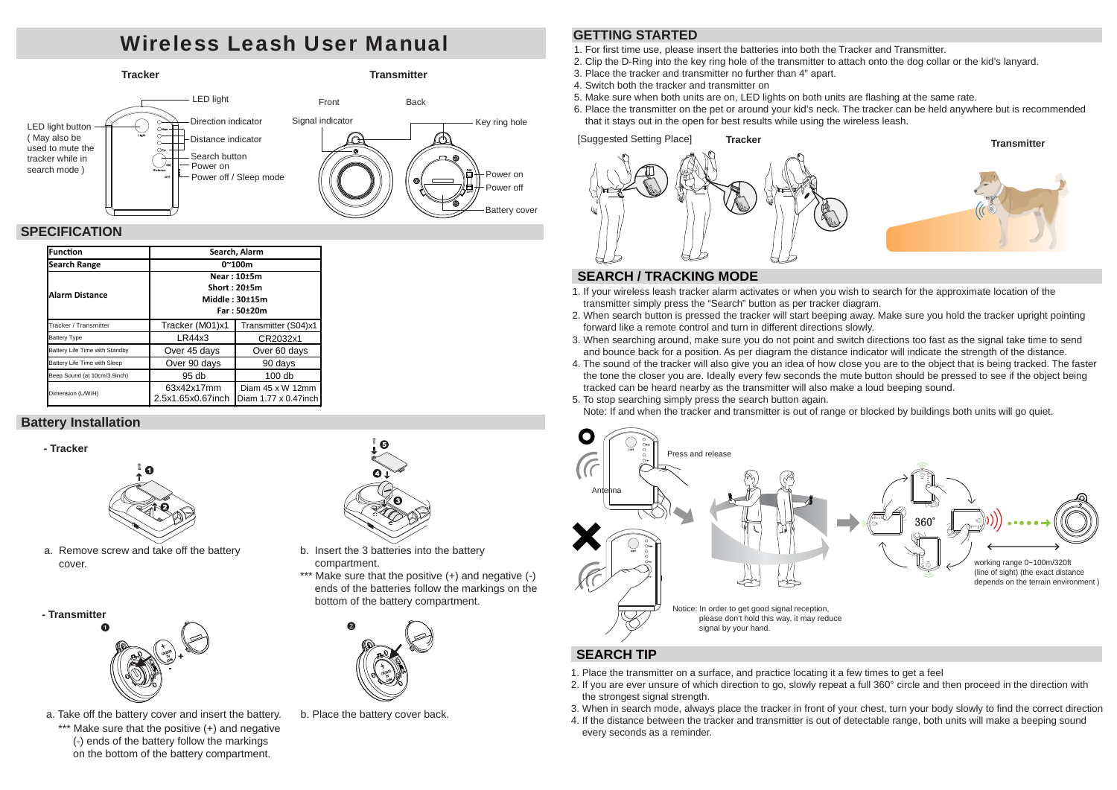# Wireless Leash User Manual



## **SPECIFICATION**

| <b>Function</b>                | Search, Alarm                                                  |                                           |  |
|--------------------------------|----------------------------------------------------------------|-------------------------------------------|--|
| Search Range                   | $0^{\sim}100m$                                                 |                                           |  |
| <b>Alarm Distance</b>          | Near: 10±5m<br>Short: 20±5m<br>Middle: $30±15m$<br>Far: 50±20m |                                           |  |
| Tracker / Transmitter          | Tracker (M01)x1                                                | Transmitter (S04)x1                       |  |
| Battery Type                   | LR44x3                                                         | CR2032x1                                  |  |
| Battery Life Time with Standby | Over 45 days                                                   | Over 60 days                              |  |
| Battery Life Time with Sleep   | Over 90 days                                                   | 90 days                                   |  |
| Beep Sound (at 10cm/3.9inch)   | 95 <sub>db</sub>                                               | 100 db                                    |  |
| Dimension (L/W/H)              | 63x42x17mm<br>2.5x1.65x0.67inch                                | Diam 45 x W 12mm<br>Diam 1.77 x 0.47 inch |  |

## **Battery Installation**





a. Remove screw and take off the battery cover.

**- Transmitter**



\*\*\* Make sure that the positive (+) and negative (-) ends of the battery follow the markings on the bottom of the battery compartment. a. Take off the battery cover and insert the battery.



- b. Insert the 3 batteries into the battery compartment.
- \*\*\* Make sure that the positive (+) and negative (-) ends of the batteries follow the markings on the bottom of the battery compartment.



b. Place the battery cover back.

## **GETTING STARTED**

1. For first time use, please insert the batteries into both the Tracker and Transmitter.

- 2. Clip the D-Ring into the key ring hole of the transmitter to attach onto the dog collar or the kid's lanyard.
- 3. Place the tracker and transmitter no further than 4" apart.
- 4. Switch both the tracker and transmitter on
- 5. Make sure when both units are on, LED lights on both units are flashing at the same rate.
- 6. Place the transmitter on the pet or around your kid's neck. The tracker can be held anywhere but is recommended that it stays out in the open for best results while using the wireless leash.



## **SEARCH / TRACKING MODE**

- 1. If your wireless leash tracker alarm activates or when you wish to search for the approximate location of the transmitter simply press the "Search" button as per tracker diagram.
- 2. When search button is pressed the tracker will start beeping away. Make sure you hold the tracker upright pointing forward like a remote control and turn in different directions slowly.
- 3. When searching around, make sure you do not point and switch directions too fast as the signal take time to send and bounce back for a position. As per diagram the distance indicator will indicate the strength of the distance.
- 4. The sound of the tracker will also give you an idea of how close you are to the object that is being tracked. The faster the tone the closer you are. Ideally every few seconds the mute button should be pressed to see if the object being tracked can be heard nearby as the transmitter will also make a loud beeping sound.
- 5. To stop searching simply press the search button again.

Note: If and when the tracker and transmitter is out of range or blocked by buildings both units will go quiet.



## **SEARCH TIP**

- 1. Place the transmitter on a surface, and practice locating it a few times to get a feel
- 2. If you are ever unsure of which direction to go, slowly repeat a full 360° circle and then proceed in the direction with the strongest signal strength.
- 3. When in search mode, always place the tracker in front of your chest, turn your body slowly to find the correct direction
- 4. If the distance between the tracker and transmitter is out of detectable range, both units will make a beeping sound every seconds as a reminder.